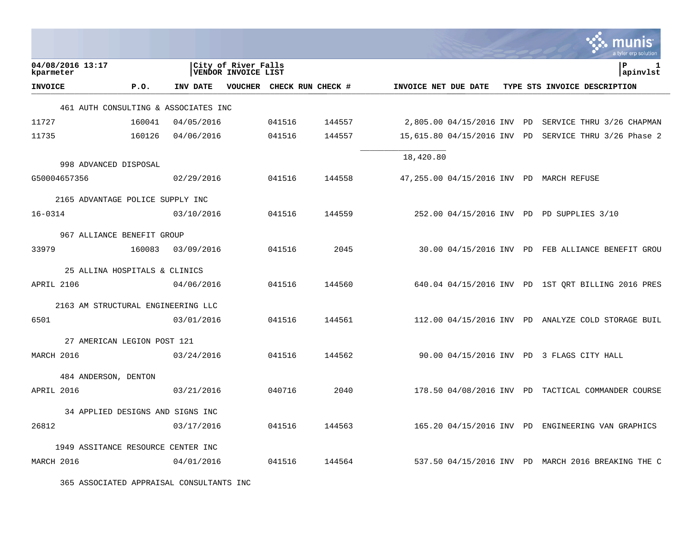|                                      |        |            |                                                   |                           |        |                      |                             |  | a tyler erp solution                                 |
|--------------------------------------|--------|------------|---------------------------------------------------|---------------------------|--------|----------------------|-----------------------------|--|------------------------------------------------------|
| 04/08/2016 13:17<br>kparmeter        |        |            | City of River Falls<br><b>VENDOR INVOICE LIST</b> |                           |        |                      |                             |  | lР<br>1<br>apinvlst                                  |
| <b>INVOICE</b>                       | P.O.   | INV DATE   |                                                   | VOUCHER CHECK RUN CHECK # |        | INVOICE NET DUE DATE |                             |  | TYPE STS INVOICE DESCRIPTION                         |
| 461 AUTH CONSULTING & ASSOCIATES INC |        |            |                                                   |                           |        |                      |                             |  |                                                      |
| 11727                                | 160041 | 04/05/2016 |                                                   | 041516                    | 144557 |                      |                             |  | 2,805.00 04/15/2016 INV PD SERVICE THRU 3/26 CHAPMAN |
| 11735                                | 160126 | 04/06/2016 |                                                   | 041516                    | 144557 |                      | 15,615.80 04/15/2016 INV PD |  | SERVICE THRU 3/26 Phase 2                            |
| 998 ADVANCED DISPOSAL                |        |            |                                                   |                           |        | 18,420.80            |                             |  |                                                      |
| G50004657356                         |        | 02/29/2016 |                                                   | 041516                    | 144558 |                      |                             |  | 47,255.00 04/15/2016 INV PD MARCH REFUSE             |
| 2165 ADVANTAGE POLICE SUPPLY INC     |        |            |                                                   |                           |        |                      |                             |  |                                                      |
| $16 - 0314$                          |        | 03/10/2016 |                                                   | 041516                    | 144559 |                      |                             |  | 252.00 04/15/2016 INV PD PD SUPPLIES 3/10            |
| 967 ALLIANCE BENEFIT GROUP           |        |            |                                                   |                           |        |                      |                             |  |                                                      |
| 33979                                | 160083 | 03/09/2016 |                                                   | 041516                    | 2045   |                      |                             |  | 30.00 04/15/2016 INV PD FEB ALLIANCE BENEFIT GROU    |
| 25 ALLINA HOSPITALS & CLINICS        |        |            |                                                   |                           |        |                      |                             |  |                                                      |
| APRIL 2106                           |        | 04/06/2016 |                                                   | 041516                    | 144560 |                      |                             |  | 640.04 04/15/2016 INV PD 1ST ORT BILLING 2016 PRES   |
| 2163 AM STRUCTURAL ENGINEERING LLC   |        |            |                                                   |                           |        |                      |                             |  |                                                      |
| 6501                                 |        | 03/01/2016 |                                                   | 041516                    | 144561 |                      |                             |  | 112.00 04/15/2016 INV PD ANALYZE COLD STORAGE BUIL   |
| 27 AMERICAN LEGION POST 121          |        |            |                                                   |                           |        |                      |                             |  |                                                      |
| MARCH 2016                           |        | 03/24/2016 |                                                   | 041516                    | 144562 |                      |                             |  | 90.00 04/15/2016 INV PD 3 FLAGS CITY HALL            |
| 484 ANDERSON, DENTON                 |        |            |                                                   |                           |        |                      |                             |  |                                                      |
| APRIL 2016                           |        | 03/21/2016 |                                                   | 040716                    | 2040   |                      |                             |  | 178.50 04/08/2016 INV PD TACTICAL COMMANDER COURSE   |
| 34 APPLIED DESIGNS AND SIGNS INC     |        |            |                                                   |                           |        |                      |                             |  |                                                      |
| 26812                                |        | 03/17/2016 |                                                   | 041516                    | 144563 |                      |                             |  | 165.20 04/15/2016 INV PD ENGINEERING VAN GRAPHICS    |
| 1949 ASSITANCE RESOURCE CENTER INC   |        |            |                                                   |                           |        |                      |                             |  |                                                      |
| MARCH 2016                           |        | 04/01/2016 |                                                   | 041516                    | 144564 |                      |                             |  | 537.50 04/15/2016 INV PD MARCH 2016 BREAKING THE C   |

365 ASSOCIATED APPRAISAL CONSULTANTS INC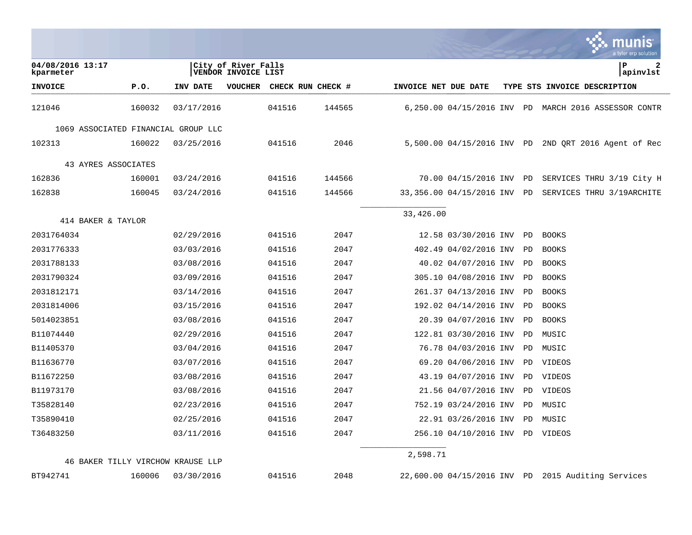|                                                         |            |                                            |                   |                      |                          |           | <u>Imunis</u><br>a tyler erp solution                |
|---------------------------------------------------------|------------|--------------------------------------------|-------------------|----------------------|--------------------------|-----------|------------------------------------------------------|
| 04/08/2016 13:17<br>kparmeter                           |            | City of River Falls<br>VENDOR INVOICE LIST |                   |                      |                          |           | lР<br>2<br>apinvlst                                  |
| <b>INVOICE</b><br>P.0.                                  | INV DATE   | <b>VOUCHER</b>                             | CHECK RUN CHECK # | INVOICE NET DUE DATE |                          |           | TYPE STS INVOICE DESCRIPTION                         |
| 121046<br>160032                                        | 03/17/2016 | 041516                                     | 144565            |                      |                          |           | 6,250.00 04/15/2016 INV PD MARCH 2016 ASSESSOR CONTR |
| 1069 ASSOCIATED FINANCIAL GROUP LLC                     |            |                                            |                   |                      |                          |           |                                                      |
| 102313<br>160022                                        | 03/25/2016 | 041516                                     | 2046              |                      |                          |           | 5,500.00 04/15/2016 INV PD 2ND QRT 2016 Agent of Rec |
| 43 AYRES ASSOCIATES                                     |            |                                            |                   |                      |                          |           |                                                      |
| 162836<br>160001                                        | 03/24/2016 | 041516                                     | 144566            |                      | 70.00 04/15/2016 INV     | PD        | SERVICES THRU 3/19 City H                            |
| 162838<br>160045                                        | 03/24/2016 | 041516                                     | 144566            |                      | 33,356.00 04/15/2016 INV | PD        | SERVICES THRU 3/19ARCHITE                            |
|                                                         |            |                                            |                   |                      |                          |           |                                                      |
| 414 BAKER & TAYLOR                                      |            |                                            |                   | 33,426.00            |                          |           |                                                      |
| 2031764034                                              | 02/29/2016 | 041516                                     | 2047              |                      | 12.58 03/30/2016 INV     | PD.       | <b>BOOKS</b>                                         |
| 2031776333                                              | 03/03/2016 | 041516                                     | 2047              |                      | 402.49 04/02/2016 INV    | PD        | <b>BOOKS</b>                                         |
| 2031788133                                              | 03/08/2016 | 041516                                     | 2047              |                      | 40.02 04/07/2016 INV     | PD        | <b>BOOKS</b>                                         |
| 2031790324                                              | 03/09/2016 | 041516                                     | 2047              |                      | 305.10 04/08/2016 INV    | PD        | <b>BOOKS</b>                                         |
| 2031812171                                              | 03/14/2016 | 041516                                     | 2047              |                      | 261.37 04/13/2016 INV    | <b>PD</b> | <b>BOOKS</b>                                         |
| 2031814006                                              | 03/15/2016 | 041516                                     | 2047              |                      | 192.02 04/14/2016 INV    | PD.       | <b>BOOKS</b>                                         |
| 5014023851                                              | 03/08/2016 | 041516                                     | 2047              |                      | 20.39 04/07/2016 INV     | PD        | <b>BOOKS</b>                                         |
| B11074440                                               | 02/29/2016 | 041516                                     | 2047              |                      | 122.81 03/30/2016 INV    | PD        | MUSIC                                                |
| B11405370                                               | 03/04/2016 | 041516                                     | 2047              |                      | 76.78 04/03/2016 INV     | PD.       | MUSIC                                                |
| B11636770                                               | 03/07/2016 | 041516                                     | 2047              |                      | 69.20 04/06/2016 INV     | <b>PD</b> | VIDEOS                                               |
| B11672250                                               | 03/08/2016 | 041516                                     | 2047              |                      | 43.19 04/07/2016 INV     | PD        | VIDEOS                                               |
| B11973170                                               | 03/08/2016 | 041516                                     | 2047              |                      | 21.56 04/07/2016 INV     | PD        | VIDEOS                                               |
| T35828140                                               | 02/23/2016 | 041516                                     | 2047              |                      | 752.19 03/24/2016 INV    | PD        | MUSIC                                                |
| T35890410                                               | 02/25/2016 | 041516                                     | 2047              |                      | 22.91 03/26/2016 INV     | PD.       | MUSIC                                                |
| T36483250                                               | 03/11/2016 | 041516                                     | 2047              |                      | 256.10 04/10/2016 INV    |           | PD VIDEOS                                            |
|                                                         |            |                                            |                   | 2,598.71             |                          |           |                                                      |
| 46 BAKER TILLY VIRCHOW KRAUSE LLP<br>BT942741<br>160006 | 03/30/2016 | 041516                                     | 2048              |                      |                          |           | 22,600.00 04/15/2016 INV PD 2015 Auditing Services   |

 $\mathcal{L}$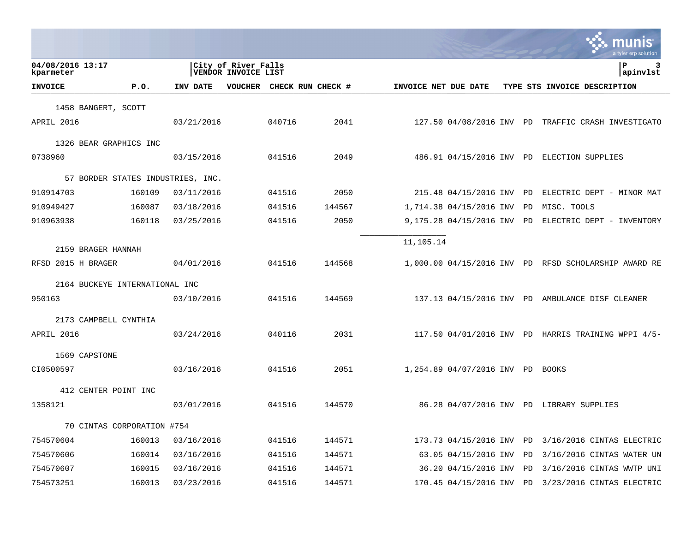|                               |                                |                                   |                                            |                   |        |                      |                                  | a tyler erp solution                                 |
|-------------------------------|--------------------------------|-----------------------------------|--------------------------------------------|-------------------|--------|----------------------|----------------------------------|------------------------------------------------------|
| 04/08/2016 13:17<br>kparmeter |                                |                                   | City of River Falls<br>VENDOR INVOICE LIST |                   |        |                      |                                  | P<br>3<br>apinvlst                                   |
| <b>INVOICE</b>                | P.0.                           | INV DATE                          | VOUCHER                                    | CHECK RUN CHECK # |        | INVOICE NET DUE DATE |                                  | TYPE STS INVOICE DESCRIPTION                         |
| 1458 BANGERT, SCOTT           |                                |                                   |                                            |                   |        |                      |                                  |                                                      |
| APRIL 2016                    |                                | 03/21/2016                        |                                            | 040716            | 2041   |                      |                                  | 127.50 04/08/2016 INV PD TRAFFIC CRASH INVESTIGATO   |
| 1326 BEAR GRAPHICS INC        |                                |                                   |                                            |                   |        |                      |                                  |                                                      |
| 0738960                       |                                | 03/15/2016                        |                                            | 041516            | 2049   |                      |                                  | 486.91 04/15/2016 INV PD ELECTION SUPPLIES           |
|                               |                                | 57 BORDER STATES INDUSTRIES, INC. |                                            |                   |        |                      |                                  |                                                      |
| 910914703                     | 160109                         | 03/11/2016                        |                                            | 041516            | 2050   |                      | 215.48 04/15/2016 INV PD         | ELECTRIC DEPT - MINOR MAT                            |
| 910949427                     | 160087                         | 03/18/2016                        |                                            | 041516            | 144567 |                      | 1,714.38 04/15/2016 INV          | PD<br>MISC. TOOLS                                    |
| 910963938                     | 160118                         | 03/25/2016                        |                                            | 041516            | 2050   |                      | 9,175.28 04/15/2016 INV PD       | ELECTRIC DEPT - INVENTORY                            |
|                               |                                |                                   |                                            |                   |        | 11,105.14            |                                  |                                                      |
| 2159 BRAGER HANNAH            |                                |                                   |                                            |                   |        |                      |                                  |                                                      |
| RFSD 2015 H BRAGER            |                                | 04/01/2016                        |                                            | 041516            | 144568 |                      |                                  | 1,000.00 04/15/2016 INV PD RFSD SCHOLARSHIP AWARD RE |
|                               | 2164 BUCKEYE INTERNATIONAL INC |                                   |                                            |                   |        |                      |                                  |                                                      |
| 950163                        |                                | 03/10/2016                        |                                            | 041516            | 144569 |                      |                                  | 137.13 04/15/2016 INV PD AMBULANCE DISF CLEANER      |
| 2173 CAMPBELL CYNTHIA         |                                |                                   |                                            |                   |        |                      |                                  |                                                      |
| APRIL 2016                    |                                | 03/24/2016                        |                                            | 040116            | 2031   |                      |                                  | 117.50 04/01/2016 INV PD HARRIS TRAINING WPPI 4/5-   |
| 1569 CAPSTONE                 |                                |                                   |                                            |                   |        |                      |                                  |                                                      |
| CI0500597                     |                                | 03/16/2016                        |                                            | 041516            | 2051   |                      | 1,254.89 04/07/2016 INV PD BOOKS |                                                      |
| 412 CENTER POINT INC          |                                |                                   |                                            |                   |        |                      |                                  |                                                      |
| 1358121                       |                                | 03/01/2016                        |                                            | 041516            | 144570 |                      |                                  | 86.28 04/07/2016 INV PD LIBRARY SUPPLIES             |
|                               |                                |                                   |                                            |                   |        |                      |                                  |                                                      |
|                               | 70 CINTAS CORPORATION #754     |                                   |                                            |                   |        |                      |                                  |                                                      |
| 754570604                     | 160013                         | 03/16/2016                        |                                            | 041516            | 144571 |                      |                                  | 173.73 04/15/2016 INV PD 3/16/2016 CINTAS ELECTRIC   |
| 754570606                     | 160014                         | 03/16/2016                        |                                            | 041516            | 144571 |                      | 63.05 04/15/2016 INV             | PD<br>3/16/2016 CINTAS WATER UN                      |
| 754570607                     | 160015                         | 03/16/2016                        |                                            | 041516            | 144571 |                      | 36.20 04/15/2016 INV             | PD<br>3/16/2016 CINTAS WWTP UNI                      |
| 754573251                     | 160013                         | 03/23/2016                        |                                            | 041516            | 144571 |                      | 170.45 04/15/2016 INV PD         | 3/23/2016 CINTAS ELECTRIC                            |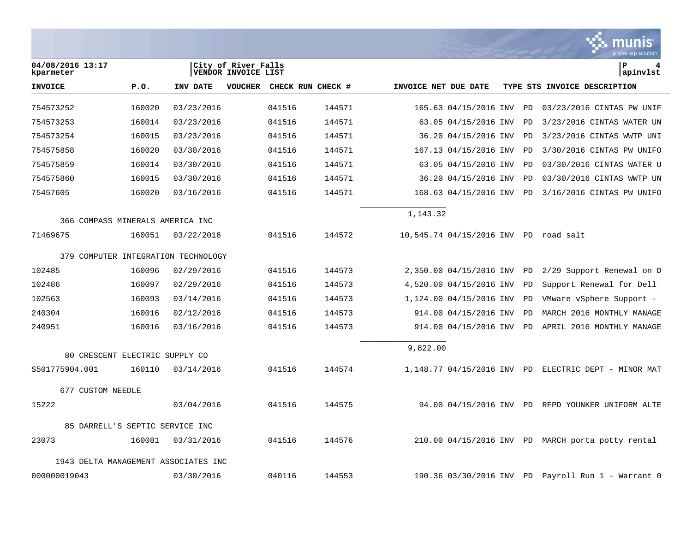|                                      |                                 |                                     |                                            |        |                   |                      |                                       |    | munis<br>a tyler erp solution                        |
|--------------------------------------|---------------------------------|-------------------------------------|--------------------------------------------|--------|-------------------|----------------------|---------------------------------------|----|------------------------------------------------------|
| 04/08/2016 13:17<br>kparmeter        |                                 |                                     | City of River Falls<br>VENDOR INVOICE LIST |        |                   |                      |                                       |    | P<br>4<br>apinvlst                                   |
| <b>INVOICE</b>                       | P.O.                            | INV DATE                            | <b>VOUCHER</b>                             |        | CHECK RUN CHECK # | INVOICE NET DUE DATE |                                       |    | TYPE STS INVOICE DESCRIPTION                         |
| 754573252                            | 160020                          | 03/23/2016                          |                                            | 041516 | 144571            |                      | 165.63 04/15/2016 INV                 | PD | 03/23/2016 CINTAS PW UNIF                            |
| 754573253                            | 160014                          | 03/23/2016                          |                                            | 041516 | 144571            |                      | 63.05 04/15/2016 INV                  | PD | 3/23/2016 CINTAS WATER UN                            |
| 754573254                            | 160015                          | 03/23/2016                          |                                            | 041516 | 144571            |                      | 36.20 04/15/2016 INV                  | PD | 3/23/2016 CINTAS WWTP UNI                            |
| 754575858                            | 160020                          | 03/30/2016                          |                                            | 041516 | 144571            |                      | 167.13 04/15/2016 INV                 | PD | 3/30/2016 CINTAS PW UNIFO                            |
| 754575859                            | 160014                          | 03/30/2016                          |                                            | 041516 | 144571            |                      | 63.05 04/15/2016 INV                  | PD | 03/30/2016 CINTAS WATER U                            |
| 754575860                            | 160015                          | 03/30/2016                          |                                            | 041516 | 144571            |                      | 36.20 04/15/2016 INV                  | PD | 03/30/2016 CINTAS WWTP UN                            |
| 75457605                             | 160020                          | 03/16/2016                          |                                            | 041516 | 144571            |                      | 168.63 04/15/2016 INV                 | PD | 3/16/2016 CINTAS PW UNIFO                            |
| 366 COMPASS MINERALS AMERICA INC     |                                 |                                     |                                            |        |                   | 1,143.32             |                                       |    |                                                      |
| 71469675                             | 160051                          | 03/22/2016                          |                                            | 041516 | 144572            |                      | 10,545.74 04/15/2016 INV PD road salt |    |                                                      |
|                                      |                                 | 379 COMPUTER INTEGRATION TECHNOLOGY |                                            |        |                   |                      |                                       |    |                                                      |
| 102485                               | 160096                          | 02/29/2016                          |                                            | 041516 | 144573            |                      | 2,350.00 04/15/2016 INV               | PD | 2/29 Support Renewal on D                            |
| 102486                               | 160097                          | 02/29/2016                          |                                            | 041516 | 144573            |                      | 4,520.00 04/15/2016 INV               | PD | Support Renewal for Dell                             |
| 102563                               | 160093                          | 03/14/2016                          |                                            | 041516 | 144573            |                      | 1,124.00 04/15/2016 INV               | PD | VMware vSphere Support -                             |
| 240304                               | 160016                          | 02/12/2016                          |                                            | 041516 | 144573            |                      | 914.00 04/15/2016 INV                 | PD | MARCH 2016 MONTHLY MANAGE                            |
| 240951                               | 160016                          | 03/16/2016                          |                                            | 041516 | 144573            |                      | 914.00 04/15/2016 INV                 | PD | APRIL 2016 MONTHLY MANAGE                            |
|                                      | 80 CRESCENT ELECTRIC SUPPLY CO  |                                     |                                            |        |                   | 9,822.00             |                                       |    |                                                      |
| S501775904.001                       | 160110                          | 03/14/2016                          |                                            | 041516 | 144574            |                      |                                       |    | 1,148.77 04/15/2016 INV PD ELECTRIC DEPT - MINOR MAT |
| 677 CUSTOM NEEDLE                    |                                 |                                     |                                            |        |                   |                      |                                       |    |                                                      |
| 15222                                |                                 | 03/04/2016                          |                                            | 041516 | 144575            |                      | 94.00 04/15/2016 INV PD               |    | RFPD YOUNKER UNIFORM ALTE                            |
|                                      | 85 DARRELL'S SEPTIC SERVICE INC |                                     |                                            |        |                   |                      |                                       |    |                                                      |
| 23073                                | 160081                          | 03/31/2016                          |                                            | 041516 | 144576            |                      |                                       |    | 210.00 04/15/2016 INV PD MARCH porta potty rental    |
| 1943 DELTA MANAGEMENT ASSOCIATES INC |                                 |                                     |                                            |        |                   |                      |                                       |    |                                                      |
| 000000019043                         |                                 | 03/30/2016                          |                                            | 040116 | 144553            |                      | 190.36 03/30/2016 INV                 | PD | Payroll Run 1 - Warrant 0                            |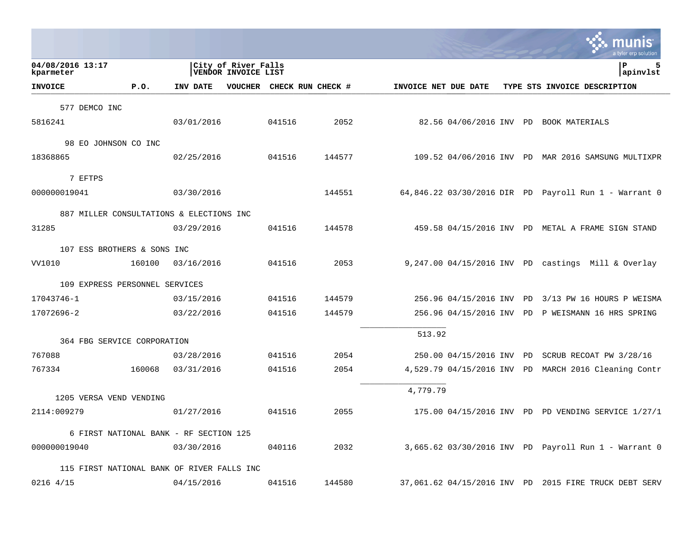|        |                                                                            |                                                                                              |                                                                                                                                                                                                                                                                                                          |                                                                                                   |                                             |                                            | a tyler erp solution                                                                                                                                                                                                                                                                                                                                                                                                                                                                                                                                                                                                                     |
|--------|----------------------------------------------------------------------------|----------------------------------------------------------------------------------------------|----------------------------------------------------------------------------------------------------------------------------------------------------------------------------------------------------------------------------------------------------------------------------------------------------------|---------------------------------------------------------------------------------------------------|---------------------------------------------|--------------------------------------------|------------------------------------------------------------------------------------------------------------------------------------------------------------------------------------------------------------------------------------------------------------------------------------------------------------------------------------------------------------------------------------------------------------------------------------------------------------------------------------------------------------------------------------------------------------------------------------------------------------------------------------------|
|        |                                                                            |                                                                                              |                                                                                                                                                                                                                                                                                                          |                                                                                                   |                                             |                                            | l P<br>5<br>apinvlst                                                                                                                                                                                                                                                                                                                                                                                                                                                                                                                                                                                                                     |
| P.0.   | INV DATE                                                                   |                                                                                              |                                                                                                                                                                                                                                                                                                          |                                                                                                   |                                             |                                            | TYPE STS INVOICE DESCRIPTION                                                                                                                                                                                                                                                                                                                                                                                                                                                                                                                                                                                                             |
|        |                                                                            |                                                                                              |                                                                                                                                                                                                                                                                                                          |                                                                                                   |                                             |                                            |                                                                                                                                                                                                                                                                                                                                                                                                                                                                                                                                                                                                                                          |
|        |                                                                            |                                                                                              | 041516                                                                                                                                                                                                                                                                                                   | 2052                                                                                              |                                             |                                            |                                                                                                                                                                                                                                                                                                                                                                                                                                                                                                                                                                                                                                          |
|        |                                                                            |                                                                                              |                                                                                                                                                                                                                                                                                                          |                                                                                                   |                                             |                                            |                                                                                                                                                                                                                                                                                                                                                                                                                                                                                                                                                                                                                                          |
|        |                                                                            |                                                                                              | 041516                                                                                                                                                                                                                                                                                                   | 144577                                                                                            |                                             |                                            |                                                                                                                                                                                                                                                                                                                                                                                                                                                                                                                                                                                                                                          |
|        |                                                                            |                                                                                              |                                                                                                                                                                                                                                                                                                          |                                                                                                   |                                             |                                            |                                                                                                                                                                                                                                                                                                                                                                                                                                                                                                                                                                                                                                          |
|        |                                                                            |                                                                                              |                                                                                                                                                                                                                                                                                                          | 144551                                                                                            |                                             |                                            |                                                                                                                                                                                                                                                                                                                                                                                                                                                                                                                                                                                                                                          |
|        |                                                                            |                                                                                              |                                                                                                                                                                                                                                                                                                          |                                                                                                   |                                             |                                            |                                                                                                                                                                                                                                                                                                                                                                                                                                                                                                                                                                                                                                          |
|        |                                                                            |                                                                                              | 041516                                                                                                                                                                                                                                                                                                   | 144578                                                                                            |                                             |                                            |                                                                                                                                                                                                                                                                                                                                                                                                                                                                                                                                                                                                                                          |
|        |                                                                            |                                                                                              |                                                                                                                                                                                                                                                                                                          |                                                                                                   |                                             |                                            |                                                                                                                                                                                                                                                                                                                                                                                                                                                                                                                                                                                                                                          |
| 160100 |                                                                            |                                                                                              | 041516                                                                                                                                                                                                                                                                                                   | 2053                                                                                              |                                             |                                            |                                                                                                                                                                                                                                                                                                                                                                                                                                                                                                                                                                                                                                          |
|        |                                                                            |                                                                                              |                                                                                                                                                                                                                                                                                                          |                                                                                                   |                                             |                                            |                                                                                                                                                                                                                                                                                                                                                                                                                                                                                                                                                                                                                                          |
|        |                                                                            |                                                                                              | 041516                                                                                                                                                                                                                                                                                                   | 144579                                                                                            |                                             |                                            |                                                                                                                                                                                                                                                                                                                                                                                                                                                                                                                                                                                                                                          |
|        |                                                                            |                                                                                              | 041516                                                                                                                                                                                                                                                                                                   | 144579                                                                                            |                                             |                                            |                                                                                                                                                                                                                                                                                                                                                                                                                                                                                                                                                                                                                                          |
|        |                                                                            |                                                                                              |                                                                                                                                                                                                                                                                                                          |                                                                                                   |                                             |                                            |                                                                                                                                                                                                                                                                                                                                                                                                                                                                                                                                                                                                                                          |
|        |                                                                            |                                                                                              |                                                                                                                                                                                                                                                                                                          |                                                                                                   |                                             |                                            |                                                                                                                                                                                                                                                                                                                                                                                                                                                                                                                                                                                                                                          |
|        |                                                                            |                                                                                              |                                                                                                                                                                                                                                                                                                          |                                                                                                   |                                             |                                            | SCRUB RECOAT PW 3/28/16                                                                                                                                                                                                                                                                                                                                                                                                                                                                                                                                                                                                                  |
|        |                                                                            |                                                                                              |                                                                                                                                                                                                                                                                                                          |                                                                                                   |                                             |                                            |                                                                                                                                                                                                                                                                                                                                                                                                                                                                                                                                                                                                                                          |
|        |                                                                            |                                                                                              |                                                                                                                                                                                                                                                                                                          |                                                                                                   |                                             |                                            |                                                                                                                                                                                                                                                                                                                                                                                                                                                                                                                                                                                                                                          |
|        |                                                                            |                                                                                              | 041516                                                                                                                                                                                                                                                                                                   | 2055                                                                                              |                                             |                                            |                                                                                                                                                                                                                                                                                                                                                                                                                                                                                                                                                                                                                                          |
|        |                                                                            |                                                                                              |                                                                                                                                                                                                                                                                                                          |                                                                                                   |                                             |                                            |                                                                                                                                                                                                                                                                                                                                                                                                                                                                                                                                                                                                                                          |
|        |                                                                            |                                                                                              | 040116                                                                                                                                                                                                                                                                                                   | 2032                                                                                              |                                             |                                            |                                                                                                                                                                                                                                                                                                                                                                                                                                                                                                                                                                                                                                          |
|        |                                                                            |                                                                                              |                                                                                                                                                                                                                                                                                                          |                                                                                                   |                                             |                                            |                                                                                                                                                                                                                                                                                                                                                                                                                                                                                                                                                                                                                                          |
|        |                                                                            |                                                                                              |                                                                                                                                                                                                                                                                                                          |                                                                                                   |                                             |                                            |                                                                                                                                                                                                                                                                                                                                                                                                                                                                                                                                                                                                                                          |
|        | 577 DEMCO INC<br>98 EO JOHNSON CO INC<br>160068<br>1205 VERSA VEND VENDING | 107 ESS BROTHERS & SONS INC<br>109 EXPRESS PERSONNEL SERVICES<br>364 FBG SERVICE CORPORATION | 03/01/2016<br>02/25/2016<br>03/30/2016<br>887 MILLER CONSULTATIONS & ELECTIONS INC<br>03/29/2016<br>03/16/2016<br>03/15/2016<br>03/22/2016<br>03/28/2016<br>03/31/2016<br>01/27/2016<br>6 FIRST NATIONAL BANK - RF SECTION 125<br>03/30/2016<br>115 FIRST NATIONAL BANK OF RIVER FALLS INC<br>04/15/2016 | City of River Falls<br><b>VENDOR INVOICE LIST</b><br><b>VOUCHER</b><br>041516<br>041516<br>041516 | CHECK RUN CHECK #<br>2054<br>2054<br>144580 | INVOICE NET DUE DATE<br>513.92<br>4,779.79 | 82.56 04/06/2016 INV PD BOOK MATERIALS<br>109.52 04/06/2016 INV PD MAR 2016 SAMSUNG MULTIXPR<br>64,846.22 03/30/2016 DIR PD Payroll Run 1 - Warrant 0<br>459.58 04/15/2016 INV PD METAL A FRAME SIGN STAND<br>$9,247.00$ 04/15/2016 INV PD castings Mill & Overlay<br>256.96 04/15/2016 INV PD 3/13 PW 16 HOURS P WEISMA<br>256.96 04/15/2016 INV PD P WEISMANN 16 HRS SPRING<br>250.00 04/15/2016 INV PD<br>4,529.79 04/15/2016 INV PD MARCH 2016 Cleaning Contr<br>175.00 04/15/2016 INV PD PD VENDING SERVICE 1/27/1<br>3,665.62 03/30/2016 INV PD Payroll Run 1 - Warrant 0<br>37,061.62 04/15/2016 INV PD 2015 FIRE TRUCK DEBT SERV |

**College**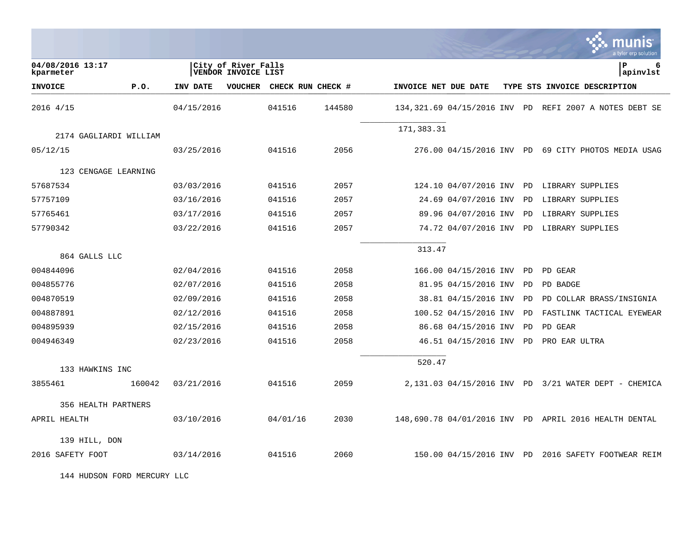|                               |        |                 |                                            |                   |        |                      |                              |    | a tyler erp solution                                  |
|-------------------------------|--------|-----------------|--------------------------------------------|-------------------|--------|----------------------|------------------------------|----|-------------------------------------------------------|
| 04/08/2016 13:17<br>kparmeter |        |                 | City of River Falls<br>VENDOR INVOICE LIST |                   |        |                      |                              |    | P<br>6<br>apinvlst                                    |
| <b>INVOICE</b>                | P.0.   | <b>INV DATE</b> | <b>VOUCHER</b>                             | CHECK RUN CHECK # |        | INVOICE NET DUE DATE |                              |    | TYPE STS INVOICE DESCRIPTION                          |
| 2016 4/15                     |        | 04/15/2016      |                                            | 041516            | 144580 |                      | 134,321.69 04/15/2016 INV PD |    | REFI 2007 A NOTES DEBT SE                             |
| 2174 GAGLIARDI WILLIAM        |        |                 |                                            |                   |        | 171,383.31           |                              |    |                                                       |
| 05/12/15                      |        | 03/25/2016      |                                            | 041516            | 2056   |                      |                              |    | 276.00 04/15/2016 INV PD 69 CITY PHOTOS MEDIA USAG    |
| 123 CENGAGE LEARNING          |        |                 |                                            |                   |        |                      |                              |    |                                                       |
| 57687534                      |        | 03/03/2016      |                                            | 041516            | 2057   |                      | 124.10 04/07/2016 INV PD     |    | LIBRARY SUPPLIES                                      |
| 57757109                      |        | 03/16/2016      |                                            | 041516            | 2057   |                      | 24.69 04/07/2016 INV         | PD | LIBRARY SUPPLIES                                      |
| 57765461                      |        | 03/17/2016      |                                            | 041516            | 2057   |                      | 89.96 04/07/2016 INV         | PD | LIBRARY SUPPLIES                                      |
| 57790342                      |        | 03/22/2016      |                                            | 041516            | 2057   |                      |                              |    | 74.72 04/07/2016 INV PD LIBRARY SUPPLIES              |
| 864 GALLS LLC                 |        |                 |                                            |                   |        | 313.47               |                              |    |                                                       |
| 004844096                     |        | 02/04/2016      |                                            | 041516            | 2058   |                      | 166.00 04/15/2016 INV        | PD | PD GEAR                                               |
| 004855776                     |        | 02/07/2016      |                                            | 041516            | 2058   |                      | 81.95 04/15/2016 INV         | PD | PD BADGE                                              |
| 004870519                     |        | 02/09/2016      |                                            | 041516            | 2058   |                      | 38.81 04/15/2016 INV         | PD | PD COLLAR BRASS/INSIGNIA                              |
| 004887891                     |        | 02/12/2016      |                                            | 041516            | 2058   |                      | 100.52 04/15/2016 INV        | PD | FASTLINK TACTICAL EYEWEAR                             |
| 004895939                     |        | 02/15/2016      |                                            | 041516            | 2058   |                      | 86.68 04/15/2016 INV         | PD | PD GEAR                                               |
| 004946349                     |        | 02/23/2016      |                                            | 041516            | 2058   |                      | 46.51 04/15/2016 INV PD      |    | PRO EAR ULTRA                                         |
| 133 HAWKINS INC               |        |                 |                                            |                   |        | 520.47               |                              |    |                                                       |
| 3855461                       | 160042 | 03/21/2016      |                                            | 041516            | 2059   |                      |                              |    | 2,131.03 04/15/2016 INV PD 3/21 WATER DEPT - CHEMICA  |
| 356 HEALTH PARTNERS           |        |                 |                                            |                   |        |                      |                              |    |                                                       |
| APRIL HEALTH                  |        | 03/10/2016      |                                            | 04/01/16          | 2030   |                      |                              |    | 148,690.78 04/01/2016 INV PD APRIL 2016 HEALTH DENTAL |
| 139 HILL, DON                 |        |                 |                                            |                   |        |                      |                              |    |                                                       |
| 2016 SAFETY FOOT              |        | 03/14/2016      |                                            | 041516            | 2060   |                      |                              |    | 150.00 04/15/2016 INV PD 2016 SAFETY FOOTWEAR REIM    |

and the company of the company of the

144 HUDSON FORD MERCURY LLC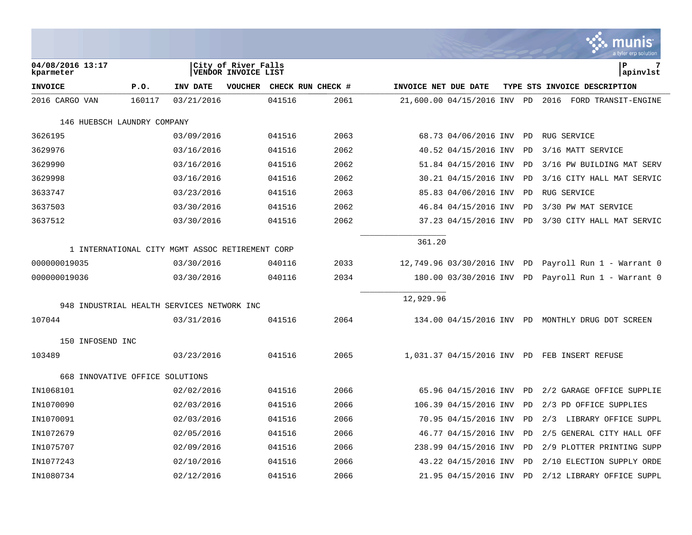| 04/08/2016 13:17<br>kparmeter                   |        |            | City of River Falls<br>VENDOR INVOICE LIST |                   |      |                      |                             |    | l P<br>7<br> apinvlst                                 |
|-------------------------------------------------|--------|------------|--------------------------------------------|-------------------|------|----------------------|-----------------------------|----|-------------------------------------------------------|
| <b>INVOICE</b>                                  | P.0.   | INV DATE   | <b>VOUCHER</b>                             | CHECK RUN CHECK # |      | INVOICE NET DUE DATE |                             |    | TYPE STS INVOICE DESCRIPTION                          |
| 2016 CARGO VAN                                  | 160117 | 03/21/2016 |                                            | 041516            | 2061 |                      | 21,600.00 04/15/2016 INV PD |    | 2016<br>FORD TRANSIT-ENGINE                           |
| 146 HUEBSCH LAUNDRY COMPANY                     |        |            |                                            |                   |      |                      |                             |    |                                                       |
| 3626195                                         |        | 03/09/2016 |                                            | 041516            | 2063 |                      | 68.73 04/06/2016 INV PD     |    | <b>RUG SERVICE</b>                                    |
| 3629976                                         |        | 03/16/2016 |                                            | 041516            | 2062 |                      | 40.52 04/15/2016 INV        | PD | 3/16 MATT SERVICE                                     |
| 3629990                                         |        | 03/16/2016 |                                            | 041516            | 2062 |                      | 51.84 04/15/2016 INV        | PD | 3/16 PW BUILDING MAT SERV                             |
| 3629998                                         |        | 03/16/2016 |                                            | 041516            | 2062 |                      | 30.21 04/15/2016 INV        | PD | 3/16 CITY HALL MAT SERVIC                             |
| 3633747                                         |        | 03/23/2016 |                                            | 041516            | 2063 |                      | 85.83 04/06/2016 INV        | PD | <b>RUG SERVICE</b>                                    |
| 3637503                                         |        | 03/30/2016 |                                            | 041516            | 2062 |                      | 46.84 04/15/2016 INV        | PD | 3/30 PW MAT SERVICE                                   |
| 3637512                                         |        | 03/30/2016 |                                            | 041516            | 2062 |                      | 37.23 04/15/2016 INV PD     |    | 3/30 CITY HALL MAT SERVIC                             |
| 1 INTERNATIONAL CITY MGMT ASSOC RETIREMENT CORP |        |            |                                            |                   |      | 361.20               |                             |    |                                                       |
| 000000019035                                    |        | 03/30/2016 |                                            | 040116            | 2033 |                      |                             |    | 12,749.96 03/30/2016 INV PD Payroll Run 1 - Warrant 0 |
| 000000019036                                    |        | 03/30/2016 |                                            | 040116            | 2034 |                      | 180.00 03/30/2016 INV PD    |    | Payroll Run 1 - Warrant 0                             |
| 948 INDUSTRIAL HEALTH SERVICES NETWORK INC      |        |            |                                            |                   |      | 12,929.96            |                             |    |                                                       |
| 107044                                          |        | 03/31/2016 |                                            | 041516            | 2064 |                      |                             |    | 134.00 04/15/2016 INV PD MONTHLY DRUG DOT SCREEN      |
|                                                 |        |            |                                            |                   |      |                      |                             |    |                                                       |
| 150 INFOSEND INC                                |        |            |                                            |                   |      |                      |                             |    |                                                       |
| 103489                                          |        | 03/23/2016 |                                            | 041516            | 2065 |                      |                             |    | 1,031.37 04/15/2016 INV PD FEB INSERT REFUSE          |
| 668 INNOVATIVE OFFICE SOLUTIONS                 |        |            |                                            |                   |      |                      |                             |    |                                                       |
| IN1068101                                       |        | 02/02/2016 |                                            | 041516            | 2066 |                      | 65.96 04/15/2016 INV PD     |    | 2/2 GARAGE OFFICE SUPPLIE                             |
| IN1070090                                       |        | 02/03/2016 |                                            | 041516            | 2066 |                      | 106.39 04/15/2016 INV       | PD | 2/3 PD OFFICE SUPPLIES                                |
| IN1070091                                       |        | 02/03/2016 |                                            | 041516            | 2066 |                      | 70.95 04/15/2016 INV        | PD | 2/3<br>LIBRARY OFFICE SUPPL                           |
| IN1072679                                       |        | 02/05/2016 |                                            | 041516            | 2066 |                      | 46.77 04/15/2016 INV        | PD | 2/5 GENERAL CITY HALL OFF                             |
| IN1075707                                       |        | 02/09/2016 |                                            | 041516            | 2066 |                      | 238.99 04/15/2016 INV       | PD | 2/9 PLOTTER PRINTING SUPP                             |
| IN1077243                                       |        | 02/10/2016 |                                            | 041516            | 2066 |                      | 43.22 04/15/2016 INV        | PD | 2/10 ELECTION SUPPLY ORDE                             |
| IN1080734                                       |        | 02/12/2016 |                                            | 041516            | 2066 |                      | 21.95 04/15/2016 INV PD     |    | 2/12 LIBRARY OFFICE SUPPL                             |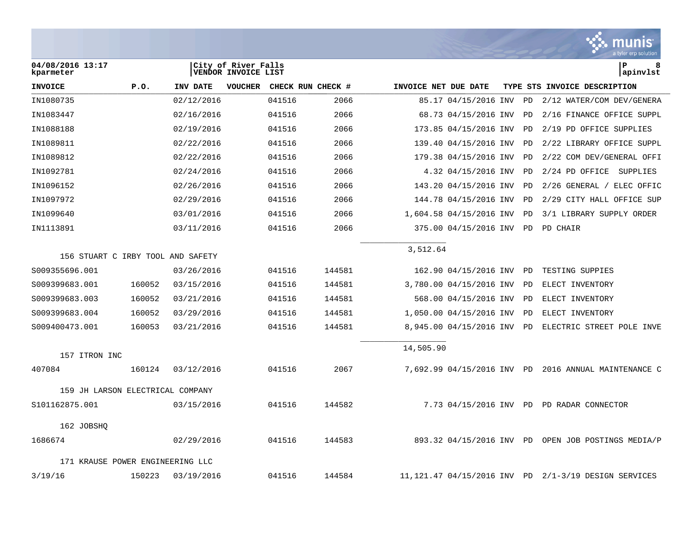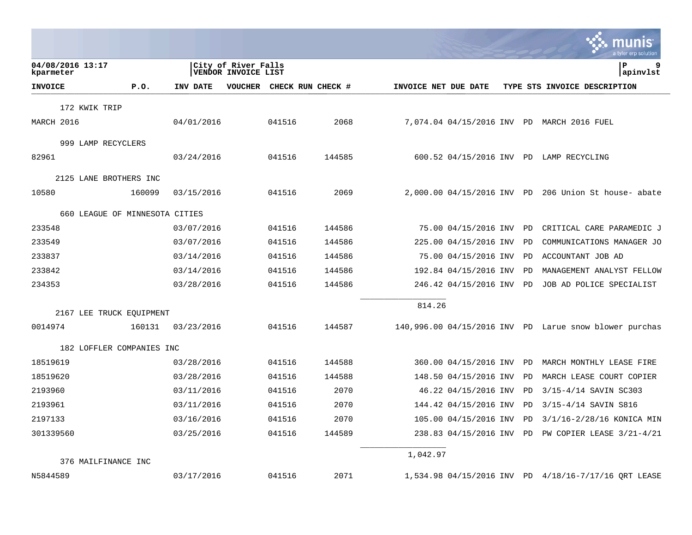|                                |            |                                            |        |                   |                      |                            |    | munis<br>a tyler erp solution                            |
|--------------------------------|------------|--------------------------------------------|--------|-------------------|----------------------|----------------------------|----|----------------------------------------------------------|
| 04/08/2016 13:17<br>kparmeter  |            | City of River Falls<br>VENDOR INVOICE LIST |        |                   |                      |                            |    | l P<br>9<br>apinvlst                                     |
| <b>INVOICE</b><br>P.O.         | INV DATE   | <b>VOUCHER</b>                             |        | CHECK RUN CHECK # | INVOICE NET DUE DATE |                            |    | TYPE STS INVOICE DESCRIPTION                             |
| 172 KWIK TRIP                  |            |                                            |        |                   |                      |                            |    |                                                          |
| MARCH 2016                     | 04/01/2016 |                                            | 041516 | 2068              |                      |                            |    | 7,074.04 04/15/2016 INV PD MARCH 2016 FUEL               |
| 999 LAMP RECYCLERS             |            |                                            |        |                   |                      |                            |    |                                                          |
| 82961                          | 03/24/2016 |                                            | 041516 | 144585            |                      | 600.52 04/15/2016 INV PD   |    | LAMP RECYCLING                                           |
| 2125 LANE BROTHERS INC         |            |                                            |        |                   |                      |                            |    |                                                          |
| 10580<br>160099                | 03/15/2016 |                                            | 041516 | 2069              |                      | 2,000.00 04/15/2016 INV PD |    | 206 Union St house- abate                                |
| 660 LEAGUE OF MINNESOTA CITIES |            |                                            |        |                   |                      |                            |    |                                                          |
| 233548                         | 03/07/2016 |                                            | 041516 | 144586            |                      | 75.00 04/15/2016 INV       | PD | CRITICAL CARE PARAMEDIC J                                |
| 233549                         | 03/07/2016 |                                            | 041516 | 144586            |                      | 225.00 04/15/2016 INV      | PD | COMMUNICATIONS MANAGER JO                                |
| 233837                         | 03/14/2016 |                                            | 041516 | 144586            |                      | 75.00 04/15/2016 INV       | PD | ACCOUNTANT JOB AD                                        |
| 233842                         | 03/14/2016 |                                            | 041516 | 144586            |                      | 192.84 04/15/2016 INV      | PD | MANAGEMENT ANALYST FELLOW                                |
| 234353                         | 03/28/2016 |                                            | 041516 | 144586            |                      | 246.42 04/15/2016 INV      | PD | JOB AD POLICE SPECIALIST                                 |
|                                |            |                                            |        |                   | 814.26               |                            |    |                                                          |
| 2167 LEE TRUCK EQUIPMENT       |            |                                            |        |                   |                      |                            |    |                                                          |
| 0014974<br>160131              | 03/23/2016 |                                            | 041516 | 144587            |                      |                            |    | $140,996.00$ 04/15/2016 INV PD Larue snow blower purchas |
| 182 LOFFLER COMPANIES INC      |            |                                            |        |                   |                      |                            |    |                                                          |
| 18519619                       | 03/28/2016 |                                            | 041516 | 144588            |                      | 360.00 04/15/2016 INV      | PD | MARCH MONTHLY LEASE FIRE                                 |
| 18519620                       | 03/28/2016 |                                            | 041516 | 144588            |                      | 148.50 04/15/2016 INV      | PD | MARCH LEASE COURT COPIER                                 |
| 2193960                        | 03/11/2016 |                                            | 041516 | 2070              |                      | 46.22 04/15/2016 INV       | PD | 3/15-4/14 SAVIN SC303                                    |
| 2193961                        | 03/11/2016 |                                            | 041516 | 2070              |                      | 144.42 04/15/2016 INV      | PD | 3/15-4/14 SAVIN S816                                     |
| 2197133                        | 03/16/2016 |                                            | 041516 | 2070              |                      | 105.00 04/15/2016 INV      | PD | 3/1/16-2/28/16 KONICA MIN                                |
| 301339560                      | 03/25/2016 |                                            | 041516 | 144589            |                      | 238.83 04/15/2016 INV      | PD | PW COPIER LEASE $3/21-4/21$                              |
| 376 MAILFINANCE INC            |            |                                            |        |                   | 1,042.97             |                            |    |                                                          |
| N5844589                       | 03/17/2016 |                                            | 041516 | 2071              |                      | 1,534.98 04/15/2016 INV PD |    | 4/18/16-7/17/16 ORT LEASE                                |

**College**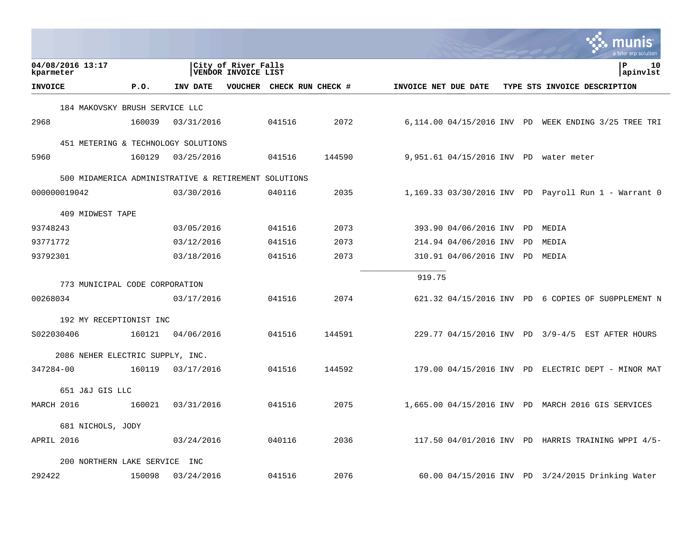|                                            |        |            |                                            |           |                           |                      |                                |           | munis<br>a tyler erp solutior                        |
|--------------------------------------------|--------|------------|--------------------------------------------|-----------|---------------------------|----------------------|--------------------------------|-----------|------------------------------------------------------|
| 04/08/2016 13:17<br>kparmeter              |        |            | City of River Falls<br>VENDOR INVOICE LIST |           |                           |                      |                                |           | l P<br>10<br>apinvlst                                |
| <b>INVOICE</b>                             | P.0.   | INV DATE   |                                            |           | VOUCHER CHECK RUN CHECK # | INVOICE NET DUE DATE |                                |           | TYPE STS INVOICE DESCRIPTION                         |
| 184 MAKOVSKY BRUSH SERVICE LLC             |        |            |                                            |           |                           |                      |                                |           |                                                      |
| 2968                                       | 160039 | 03/31/2016 |                                            | 041516    | 2072                      |                      |                                |           | 6,114.00 04/15/2016 INV PD WEEK ENDING 3/25 TREE TRI |
| 451 METERING & TECHNOLOGY SOLUTIONS        |        |            |                                            |           |                           |                      |                                |           |                                                      |
| 5960                                       | 160129 | 03/25/2016 |                                            | 041516    | 144590                    |                      |                                |           | 9,951.61 04/15/2016 INV PD water meter               |
| 500 MIDAMERICA ADMINISTRATIVE & RETIREMENT |        |            |                                            | SOLUTIONS |                           |                      |                                |           |                                                      |
| 000000019042                               |        | 03/30/2016 |                                            | 040116    | 2035                      |                      |                                |           | 1,169.33 03/30/2016 INV PD Payroll Run 1 - Warrant 0 |
| 409 MIDWEST TAPE                           |        |            |                                            |           |                           |                      |                                |           |                                                      |
| 93748243                                   |        | 03/05/2016 |                                            | 041516    | 2073                      |                      | 393.90 04/06/2016 INV          | <b>PD</b> | MEDIA                                                |
| 93771772                                   |        | 03/12/2016 |                                            | 041516    | 2073                      |                      | 214.94 04/06/2016 INV          | PD        | MEDIA                                                |
| 93792301                                   |        | 03/18/2016 |                                            | 041516    | 2073                      |                      | 310.91 04/06/2016 INV PD MEDIA |           |                                                      |
|                                            |        |            |                                            |           |                           | 919.75               |                                |           |                                                      |
| 773 MUNICIPAL CODE CORPORATION             |        |            |                                            |           |                           |                      |                                |           |                                                      |
| 00268034                                   |        | 03/17/2016 |                                            | 041516    | 2074                      |                      |                                |           | 621.32 04/15/2016 INV PD 6 COPIES OF SU0PPLEMENT N   |
| 192 MY RECEPTIONIST INC                    |        |            |                                            |           |                           |                      |                                |           |                                                      |
| S022030406                                 | 160121 | 04/06/2016 |                                            | 041516    | 144591                    |                      |                                |           | 229.77 04/15/2016 INV PD 3/9-4/5 EST AFTER HOURS     |
| 2086 NEHER ELECTRIC SUPPLY, INC.           |        |            |                                            |           |                           |                      |                                |           |                                                      |
| 347284-00                                  | 160119 | 03/17/2016 |                                            | 041516    | 144592                    |                      |                                |           | $179.00$ 04/15/2016 INV PD ELECTRIC DEPT - MINOR MAT |
| 651 J&J GIS LLC                            |        |            |                                            |           |                           |                      |                                |           |                                                      |
| MARCH 2016                                 | 160021 | 03/31/2016 |                                            | 041516    | 2075                      |                      |                                |           | 1,665.00 04/15/2016 INV PD MARCH 2016 GIS SERVICES   |
| 681 NICHOLS, JODY                          |        |            |                                            |           |                           |                      |                                |           |                                                      |
| APRIL 2016                                 |        | 03/24/2016 |                                            | 040116    | 2036                      |                      |                                |           | 117.50 04/01/2016 INV PD HARRIS TRAINING WPPI 4/5-   |
| 200 NORTHERN LAKE SERVICE                  |        | INC        |                                            |           |                           |                      |                                |           |                                                      |
| 292422                                     | 150098 | 03/24/2016 |                                            | 041516    | 2076                      |                      |                                |           | 60.00 04/15/2016 INV PD 3/24/2015 Drinking Water     |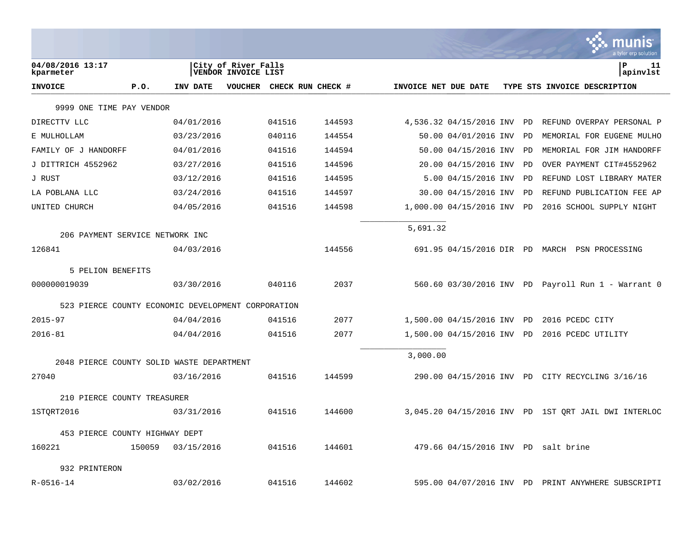|                                                    |        |            |                                            |        |                   |                      |                          |    | a tyler erp solutior                                 |
|----------------------------------------------------|--------|------------|--------------------------------------------|--------|-------------------|----------------------|--------------------------|----|------------------------------------------------------|
| 04/08/2016 13:17<br>kparmeter                      |        |            | City of River Falls<br>VENDOR INVOICE LIST |        |                   |                      |                          |    | l P<br>11<br>apinvlst                                |
| <b>INVOICE</b>                                     | P.0.   | INV DATE   | VOUCHER                                    |        | CHECK RUN CHECK # | INVOICE NET DUE DATE |                          |    | TYPE STS INVOICE DESCRIPTION                         |
| 9999 ONE TIME PAY VENDOR                           |        |            |                                            |        |                   |                      |                          |    |                                                      |
| DIRECTTV LLC                                       |        | 04/01/2016 |                                            | 041516 | 144593            |                      | 4,536.32 04/15/2016 INV  | PD | REFUND OVERPAY PERSONAL P                            |
| E MULHOLLAM                                        |        | 03/23/2016 |                                            | 040116 | 144554            |                      | 50.00 04/01/2016 INV     | PD | MEMORIAL FOR EUGENE MULHO                            |
| FAMILY OF J HANDORFF                               |        | 04/01/2016 |                                            | 041516 | 144594            |                      | 50.00 04/15/2016 INV     | PD | MEMORIAL FOR JIM HANDORFF                            |
| J DITTRICH 4552962                                 |        | 03/27/2016 |                                            | 041516 | 144596            |                      | 20.00 04/15/2016 INV     | PD | OVER PAYMENT CIT#4552962                             |
| J RUST                                             |        | 03/12/2016 |                                            | 041516 | 144595            |                      | $5.00$ 04/15/2016 INV    | PD | REFUND LOST LIBRARY MATER                            |
| LA POBLANA LLC                                     |        | 03/24/2016 |                                            | 041516 | 144597            |                      | 30.00 04/15/2016 INV     | PD | REFUND PUBLICATION FEE AP                            |
| UNITED CHURCH                                      |        | 04/05/2016 |                                            | 041516 | 144598            |                      | 1,000.00 04/15/2016 INV  | PD | 2016 SCHOOL SUPPLY NIGHT                             |
| 206 PAYMENT SERVICE NETWORK INC                    |        |            |                                            |        |                   | 5,691.32             |                          |    |                                                      |
| 126841                                             |        | 04/03/2016 |                                            |        | 144556            |                      |                          |    | 691.95 04/15/2016 DIR PD MARCH PSN PROCESSING        |
| 5 PELION BENEFITS                                  |        |            |                                            |        |                   |                      |                          |    |                                                      |
| 000000019039                                       |        | 03/30/2016 |                                            | 040116 | 2037              |                      |                          |    | 560.60 03/30/2016 INV PD Payroll Run 1 - Warrant 0   |
| 523 PIERCE COUNTY ECONOMIC DEVELOPMENT CORPORATION |        |            |                                            |        |                   |                      |                          |    |                                                      |
| $2015 - 97$                                        |        | 04/04/2016 |                                            | 041516 | 2077              |                      | 1,500.00 04/15/2016 INV  | PD | 2016 PCEDC CITY                                      |
| $2016 - 81$                                        |        | 04/04/2016 |                                            | 041516 | 2077              |                      | 1,500.00 04/15/2016 INV  | PD | 2016 PCEDC UTILITY                                   |
|                                                    |        |            |                                            |        |                   | 3,000.00             |                          |    |                                                      |
| 2048 PIERCE COUNTY SOLID WASTE DEPARTMENT<br>27040 |        |            |                                            | 041516 | 144599            |                      |                          |    |                                                      |
|                                                    |        | 03/16/2016 |                                            |        |                   |                      |                          |    | 290.00 04/15/2016 INV PD CITY RECYCLING 3/16/16      |
| 210 PIERCE COUNTY TREASURER                        |        |            |                                            |        |                   |                      |                          |    |                                                      |
| 1STORT2016                                         |        | 03/31/2016 |                                            | 041516 | 144600            |                      |                          |    | 3,045.20 04/15/2016 INV PD 1ST QRT JAIL DWI INTERLOC |
| 453 PIERCE COUNTY HIGHWAY DEPT                     |        |            |                                            |        |                   |                      |                          |    |                                                      |
| 160221                                             | 150059 | 03/15/2016 |                                            | 041516 | 144601            |                      |                          |    | 479.66 04/15/2016 INV PD salt brine                  |
| 932 PRINTERON                                      |        |            |                                            |        |                   |                      |                          |    |                                                      |
| $R - 0516 - 14$                                    |        | 03/02/2016 |                                            | 041516 | 144602            |                      | 595.00 04/07/2016 INV PD |    | PRINT ANYWHERE SUBSCRIPTI                            |

**College**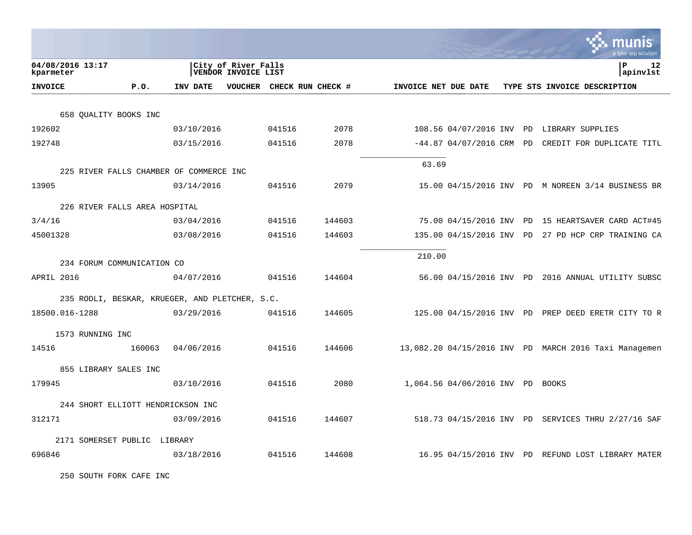|                                                                  |            |                                                   |        |                      |                                  | munis<br>a tyler erp solution                         |
|------------------------------------------------------------------|------------|---------------------------------------------------|--------|----------------------|----------------------------------|-------------------------------------------------------|
| 04/08/2016 13:17<br>kparmeter                                    |            | City of River Falls<br><b>VENDOR INVOICE LIST</b> |        |                      |                                  | Þ<br>12<br> apinvlst                                  |
| <b>INVOICE</b><br>P.O.                                           | INV DATE   | VOUCHER CHECK RUN CHECK #                         |        | INVOICE NET DUE DATE |                                  | TYPE STS INVOICE DESCRIPTION                          |
| 658 OUALITY BOOKS INC                                            |            |                                                   |        |                      |                                  |                                                       |
| 192602                                                           | 03/10/2016 | 041516                                            | 2078   |                      |                                  | 108.56 04/07/2016 INV PD LIBRARY SUPPLIES             |
| 192748                                                           | 03/15/2016 | 041516                                            | 2078   |                      |                                  | $-44.87$ 04/07/2016 CRM PD CREDIT FOR DUPLICATE TITL  |
|                                                                  |            |                                                   |        |                      |                                  |                                                       |
| 225 RIVER FALLS CHAMBER OF COMMERCE INC                          |            |                                                   |        | 63.69                |                                  |                                                       |
| 13905                                                            | 03/14/2016 | 041516                                            | 2079   |                      |                                  | 15.00 04/15/2016 INV PD M NOREEN 3/14 BUSINESS BR     |
| 226 RIVER FALLS AREA HOSPITAL                                    |            |                                                   |        |                      |                                  |                                                       |
| 3/4/16                                                           | 03/04/2016 | 041516                                            | 144603 |                      |                                  | 75.00 04/15/2016 INV PD 15 HEARTSAVER CARD ACT#45     |
| 45001328                                                         | 03/08/2016 | 041516                                            | 144603 |                      | 135.00 04/15/2016 INV PD         | 27 PD HCP CRP TRAINING CA                             |
|                                                                  |            |                                                   |        |                      |                                  |                                                       |
| 234 FORUM COMMUNICATION CO                                       |            |                                                   |        | 210.00               |                                  |                                                       |
| APRIL 2016                                                       | 04/07/2016 | 041516                                            | 144604 |                      |                                  | 56.00 04/15/2016 INV PD 2016 ANNUAL UTILITY SUBSC     |
|                                                                  |            |                                                   |        |                      |                                  |                                                       |
| 235 RODLI, BESKAR, KRUEGER, AND PLETCHER, S.C.<br>18500.016-1288 | 03/29/2016 | 041516                                            | 144605 |                      |                                  | 125.00 04/15/2016 INV PD PREP DEED ERETR CITY TO R    |
|                                                                  |            |                                                   |        |                      |                                  |                                                       |
| 1573 RUNNING INC                                                 |            |                                                   |        |                      |                                  |                                                       |
| 14516<br>160063                                                  | 04/06/2016 | 041516                                            | 144606 |                      |                                  | 13,082.20 04/15/2016 INV PD MARCH 2016 Taxi Managemen |
| 855 LIBRARY SALES INC                                            |            |                                                   |        |                      |                                  |                                                       |
| 179945                                                           | 03/10/2016 | 041516                                            | 2080   |                      | 1,064.56 04/06/2016 INV PD BOOKS |                                                       |
|                                                                  |            |                                                   |        |                      |                                  |                                                       |
| 244 SHORT ELLIOTT HENDRICKSON INC<br>312171                      | 03/09/2016 | 041516                                            | 144607 |                      |                                  |                                                       |
|                                                                  |            |                                                   |        |                      |                                  | 518.73 04/15/2016 INV PD SERVICES THRU 2/27/16 SAF    |
| 2171 SOMERSET PUBLIC LIBRARY                                     |            |                                                   |        |                      |                                  |                                                       |
| 696846                                                           | 03/18/2016 | 041516                                            | 144608 |                      |                                  | 16.95 04/15/2016 INV PD REFUND LOST LIBRARY MATER     |

250 SOUTH FORK CAFE INC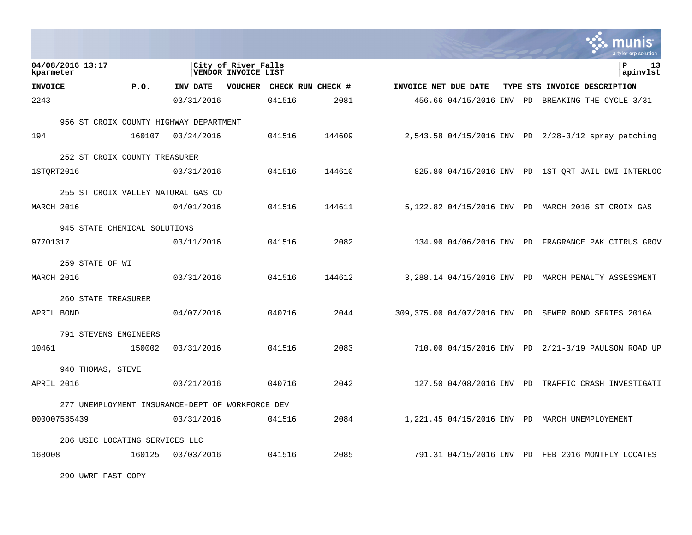|                |                                                  |        |            |                                            |        |                           |                      |  | IS<br>a tyler erp solution                           |
|----------------|--------------------------------------------------|--------|------------|--------------------------------------------|--------|---------------------------|----------------------|--|------------------------------------------------------|
| kparmeter      | 04/08/2016 13:17                                 |        |            | City of River Falls<br>VENDOR INVOICE LIST |        |                           |                      |  | ΙP<br>13<br> apinvlst                                |
| <b>INVOICE</b> |                                                  | P.0.   | INV DATE   |                                            |        | VOUCHER CHECK RUN CHECK # | INVOICE NET DUE DATE |  | TYPE STS INVOICE DESCRIPTION                         |
| 2243           |                                                  |        | 03/31/2016 |                                            | 041516 | 2081                      |                      |  | 456.66 04/15/2016 INV PD BREAKING THE CYCLE 3/31     |
|                | 956 ST CROIX COUNTY HIGHWAY DEPARTMENT           |        |            |                                            |        |                           |                      |  |                                                      |
| 194            |                                                  | 160107 | 03/24/2016 |                                            | 041516 | 144609                    |                      |  | 2,543.58 04/15/2016 INV PD 2/28-3/12 spray patching  |
|                | 252 ST CROIX COUNTY TREASURER                    |        |            |                                            |        |                           |                      |  |                                                      |
| 1STORT2016     |                                                  |        | 03/31/2016 |                                            | 041516 | 144610                    |                      |  | 825.80 04/15/2016 INV PD 1ST ORT JAIL DWI INTERLOC   |
|                | 255 ST CROIX VALLEY NATURAL GAS CO               |        |            |                                            |        |                           |                      |  |                                                      |
| MARCH 2016     |                                                  |        | 04/01/2016 |                                            | 041516 | 144611                    |                      |  | 5,122.82 04/15/2016 INV PD MARCH 2016 ST CROIX GAS   |
|                | 945 STATE CHEMICAL SOLUTIONS                     |        |            |                                            |        |                           |                      |  |                                                      |
| 97701317       |                                                  |        | 03/11/2016 |                                            | 041516 | 2082                      |                      |  | 134.90 04/06/2016 INV PD FRAGRANCE PAK CITRUS GROV   |
|                | 259 STATE OF WI                                  |        |            |                                            |        |                           |                      |  |                                                      |
| MARCH 2016     |                                                  |        | 03/31/2016 |                                            | 041516 | 144612                    |                      |  | 3,288.14 04/15/2016 INV PD MARCH PENALTY ASSESSMENT  |
|                | 260 STATE TREASURER                              |        |            |                                            |        |                           |                      |  |                                                      |
| APRIL BOND     |                                                  |        | 04/07/2016 |                                            | 040716 | 2044                      |                      |  | 309,375.00 04/07/2016 INV PD SEWER BOND SERIES 2016A |
|                | 791 STEVENS ENGINEERS                            |        |            |                                            |        |                           |                      |  |                                                      |
| 10461          |                                                  | 150002 | 03/31/2016 |                                            | 041516 | 2083                      |                      |  | 710.00 04/15/2016 INV PD 2/21-3/19 PAULSON ROAD UP   |
|                | 940 THOMAS, STEVE                                |        |            |                                            |        |                           |                      |  |                                                      |
| APRIL 2016     |                                                  |        | 03/21/2016 |                                            | 040716 | 2042                      |                      |  | 127.50 04/08/2016 INV PD TRAFFIC CRASH INVESTIGATI   |
|                | 277 UNEMPLOYMENT INSURANCE-DEPT OF WORKFORCE DEV |        |            |                                            |        |                           |                      |  |                                                      |
|                | 000007585439                                     |        | 03/31/2016 |                                            | 041516 | 2084                      |                      |  | 1,221.45 04/15/2016 INV PD MARCH UNEMPLOYEMENT       |
|                | 286 USIC LOCATING SERVICES LLC                   |        |            |                                            |        |                           |                      |  |                                                      |
| 168008         |                                                  | 160125 | 03/03/2016 |                                            | 041516 | 2085                      |                      |  | 791.31 04/15/2016 INV PD FEB 2016 MONTHLY LOCATES    |

**Contract Contract** 

290 UWRF FAST COPY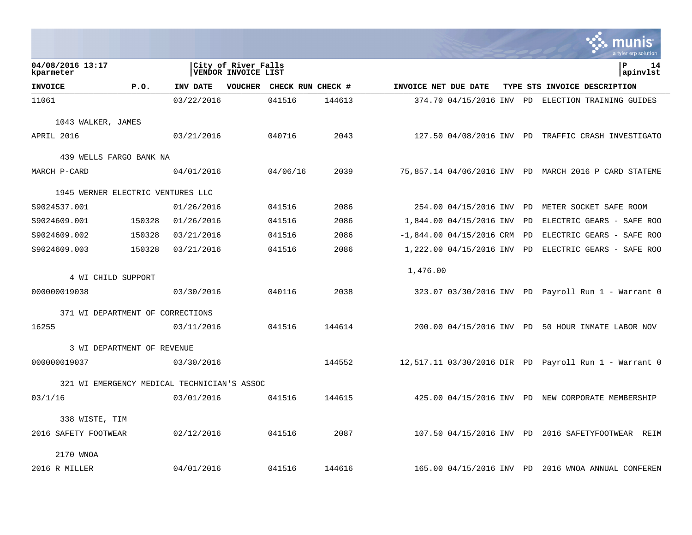|                                             |                            |            |                                            |                           |        |                      |                            |  |                              | a tyler erp solution                                  |  |  |  |
|---------------------------------------------|----------------------------|------------|--------------------------------------------|---------------------------|--------|----------------------|----------------------------|--|------------------------------|-------------------------------------------------------|--|--|--|
| 04/08/2016 13:17<br>kparmeter               |                            |            | City of River Falls<br>VENDOR INVOICE LIST |                           |        |                      |                            |  |                              | P<br>14<br>apinvlst                                   |  |  |  |
| <b>INVOICE</b>                              | P.O.                       | INV DATE   |                                            | VOUCHER CHECK RUN CHECK # |        | INVOICE NET DUE DATE |                            |  | TYPE STS INVOICE DESCRIPTION |                                                       |  |  |  |
| 11061                                       |                            | 03/22/2016 |                                            | 041516                    | 144613 |                      |                            |  |                              | 374.70 04/15/2016 INV PD ELECTION TRAINING GUIDES     |  |  |  |
| 1043 WALKER, JAMES                          |                            |            |                                            |                           |        |                      |                            |  |                              |                                                       |  |  |  |
| APRIL 2016                                  |                            | 03/21/2016 |                                            | 040716                    | 2043   |                      |                            |  |                              | 127.50 04/08/2016 INV PD TRAFFIC CRASH INVESTIGATO    |  |  |  |
| 439 WELLS FARGO BANK NA                     |                            |            |                                            |                           |        |                      |                            |  |                              |                                                       |  |  |  |
| MARCH P-CARD                                |                            | 04/01/2016 |                                            | 04/06/16                  | 2039   |                      |                            |  |                              | 75,857.14 04/06/2016 INV PD MARCH 2016 P CARD STATEME |  |  |  |
| 1945 WERNER ELECTRIC VENTURES LLC           |                            |            |                                            |                           |        |                      |                            |  |                              |                                                       |  |  |  |
| S9024537.001                                |                            | 01/26/2016 |                                            | 041516                    | 2086   |                      | 254.00 04/15/2016 INV      |  | PD                           | METER SOCKET SAFE ROOM                                |  |  |  |
| S9024609.001                                | 150328                     | 01/26/2016 |                                            | 041516                    | 2086   |                      | 1,844.00 04/15/2016 INV    |  | PD.                          | ELECTRIC GEARS - SAFE ROO                             |  |  |  |
| S9024609.002                                | 150328                     | 03/21/2016 |                                            | 041516                    | 2086   |                      | $-1,844.00$ 04/15/2016 CRM |  | PD                           | ELECTRIC GEARS - SAFE ROO                             |  |  |  |
| S9024609.003                                | 150328                     | 03/21/2016 |                                            | 041516                    | 2086   |                      | 1,222.00 04/15/2016 INV    |  | PD                           | ELECTRIC GEARS - SAFE ROO                             |  |  |  |
| 4 WI CHILD SUPPORT                          |                            |            |                                            |                           |        | 1,476.00             |                            |  |                              |                                                       |  |  |  |
| 000000019038                                |                            | 03/30/2016 |                                            | 040116                    | 2038   |                      |                            |  |                              | 323.07 03/30/2016 INV PD Payroll Run 1 - Warrant 0    |  |  |  |
| 371 WI DEPARTMENT OF CORRECTIONS            |                            |            |                                            |                           |        |                      |                            |  |                              |                                                       |  |  |  |
| 16255                                       |                            | 03/11/2016 |                                            | 041516                    | 144614 |                      |                            |  |                              | 200.00 04/15/2016 INV PD 50 HOUR INMATE LABOR NOV     |  |  |  |
|                                             | 3 WI DEPARTMENT OF REVENUE |            |                                            |                           |        |                      |                            |  |                              |                                                       |  |  |  |
| 000000019037                                |                            | 03/30/2016 |                                            |                           | 144552 |                      |                            |  |                              | 12,517.11 03/30/2016 DIR PD Payroll Run 1 - Warrant 0 |  |  |  |
| 321 WI EMERGENCY MEDICAL TECHNICIAN'S ASSOC |                            |            |                                            |                           |        |                      |                            |  |                              |                                                       |  |  |  |
| 03/1/16                                     |                            | 03/01/2016 |                                            | 041516                    | 144615 |                      |                            |  |                              | 425.00 04/15/2016 INV PD NEW CORPORATE MEMBERSHIP     |  |  |  |
| 338 WISTE, TIM                              |                            |            |                                            |                           |        |                      |                            |  |                              |                                                       |  |  |  |
| 2016 SAFETY FOOTWEAR                        |                            | 02/12/2016 |                                            | 041516                    | 2087   |                      |                            |  |                              | 107.50 04/15/2016 INV PD 2016 SAFETYFOOTWEAR REIM     |  |  |  |
| 2170 WNOA                                   |                            |            |                                            |                           |        |                      |                            |  |                              |                                                       |  |  |  |
| 2016 R MILLER                               |                            | 04/01/2016 |                                            | 041516                    | 144616 |                      |                            |  |                              | 165.00 04/15/2016 INV PD 2016 WNOA ANNUAL CONFEREN    |  |  |  |